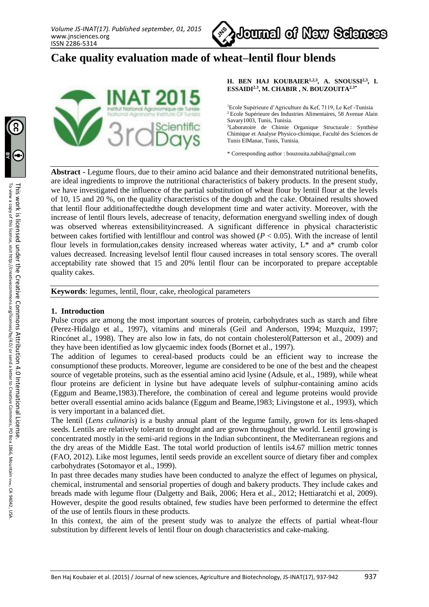

# **Cake quality evaluation made of wheat–lentil flour blends**



**H. BEN HAJ KOUBAIER1,2,3, A. SNOUSSI2,3 , I. ESSAIDI2.3 , M. CHABIR , N. BOUZOUITA2.3\***

<sup>1</sup>Ecole Supérieure d'Agriculture du Kef, 7119, Le Kef -Tunisia <sup>2</sup> Ecole Supérieure des Industries Alimentaires, 58 Avenue Alain Savary1003, Tunis, Tunisia. <sup>3</sup>Laboratoire de Chimie Organique Structurale : Synthèse Chimique et Analyse Physico-chimique, Faculté des Sciences de Tunis ElManar, Tunis, Tunisia.

\* Corresponding author : bouzouita.nabiha@gmail.com

**Abstract -** Legume flours, due to their amino acid balance and their demonstrated nutritional benefits, are ideal ingredients to improve the nutritional characteristics of bakery products. In the present study, we have investigated the influence of the partial substitution of wheat flour by lentil flour at the levels of 10, 15 and 20 %, on the quality characteristics of the dough and the cake. Obtained results showed that lentil flour additionaffectedthe dough development time and water activity. Moreover, with the increase of lentil flours levels, adecrease of tenacity, deformation energyand swelling index of dough was observed whereas extensibilityincreased. A significant difference in physical characteristic between cakes fortified with lentilflour and control was showed (*P* < 0.05). With the increase of lentil flour levels in formulation,cakes density increased whereas water activity, L\* and a\* crumb color values decreased. Increasing levelsof lentil flour caused increases in total sensory scores. The overall acceptability rate showed that 15 and 20% lentil flour can be incorporated to prepare acceptable quality cakes.

**Keywords**: legumes, lentil, flour, cake, rheological parameters

#### **1. Introduction**

Pulse crops are among the most important sources of protein, carbohydrates such as starch and fibre (Perez-Hidalgo et al., 1997), vitamins and minerals (Geil and Anderson, 1994; Muzquiz, 1997; Rincónet al., 1998). They are also low in fats, do not contain cholesterol(Patterson et al., 2009) and they have been identified as low glycaemic index foods (Bornet et al., 1997).

The addition of legumes to cereal-based products could be an efficient way to increase the consumptionof these products. Moreover, legume are considered to be one of the best and the cheapest source of vegetable proteins, such as the essential amino acid lysine (Adsule, et al., 1989), while wheat flour proteins are deficient in lysine but have adequate levels of sulphur-containing amino acids (Eggum and Beame,1983).Therefore, the combination of cereal and legume proteins would provide better overall essential amino acids balance (Eggum and Beame,1983; Livingstone et al., 1993), which is very important in a balanced diet.

The lentil (*Lens culinaris*) is a bushy annual plant of the legume family, grown for its lens-shaped seeds. Lentils are relatively tolerant to drought and are grown throughout the world. Lentil growing is concentrated mostly in the semi-arid regions in the Indian subcontinent, the Mediterranean regions and the dry areas of the Middle East. The total world production of lentils is4.67 million metric tonnes (FAO, 2012). Like most legumes, lentil seeds provide an excellent source of dietary fiber and complex carbohydrates (Sotomayor et al., 1999).

In past three decades many studies have been conducted to analyze the effect of legumes on physical, chemical, instrumental and sensorial properties of dough and bakery products. They include cakes and breads made with legume flour (Dalgetty and Baik, 2006; Hera et al., 2012; Hettiaratchi et al, 2009). However, despite the good results obtained, few studies have been performed to determine the effect of the use of lentils flours in these products.

In this context, the aim of the present study was to analyze the effects of partial wheat-flour substitution by different levels of lentil flour on dough characteristics and cake-making.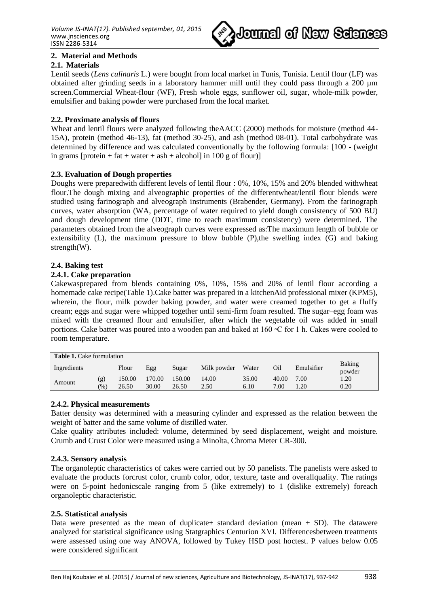

# **2. Material and Methods**

# **2.1. Materials**

Lentil seeds (*Lens culinaris* L.) were bought from local market in Tunis, Tunisia. Lentil flour (LF) was obtained after grinding seeds in a laboratory hammer mill until they could pass through a 200 µm screen.Commercial Wheat-flour (WF), Fresh whole eggs, sunflower oil, sugar, whole-milk powder, emulsifier and baking powder were purchased from the local market.

## **2.2. Proximate analysis of flours**

Wheat and lentil flours were analyzed following theAACC (2000) methods for moisture (method 44- 15A), protein (method 46-13), fat (method 30-25), and ash (method 08-01). Total carbohydrate was determined by difference and was calculated conventionally by the following formula: [100 - (weight in grams [protein + fat + water + ash + alcohol] in 100 g of flour)]

## **2.3. Evaluation of Dough properties**

Doughs were preparedwith different levels of lentil flour : 0%, 10%, 15% and 20% blended withwheat flour.The dough mixing and alveographic properties of the differentwheat/lentil flour blends were studied using farinograph and alveograph instruments (Brabender, Germany). From the farinograph curves, water absorption (WA, percentage of water required to yield dough consistency of 500 BU) and dough development time (DDT, time to reach maximum consistency) were determined. The parameters obtained from the alveograph curves were expressed as:The maximum length of bubble or extensibility (L), the maximum pressure to blow bubble (P),the swelling index (G) and baking strength(W).

#### **2.4. Baking test**

#### **2.4.1. Cake preparation**

Cakewasprepared from blends containing 0%, 10%, 15% and 20% of lentil flour according a homemade cake recipe(Table 1).Cake batter was prepared in a kitchenAid professional mixer (KPM5), wherein, the flour, milk powder baking powder, and water were creamed together to get a fluffy cream; eggs and sugar were whipped together until semi-firm foam resulted. The sugar–egg foam was mixed with the creamed flour and emulsifier, after which the vegetable oil was added in small portions. Cake batter was poured into a wooden pan and baked at 160 ◦C for 1 h. Cakes were cooled to room temperature.

| <b>Table 1.</b> Cake formulation |            |                 |                 |                 |               |               |               |                     |                  |
|----------------------------------|------------|-----------------|-----------------|-----------------|---------------|---------------|---------------|---------------------|------------------|
| Ingredients                      |            | Flour           | Egg             | Sugar           | Milk powder   | Water         | Oil           | Emulsifier          | Baking<br>powder |
| Amount                           | (g)<br>(%) | 150.00<br>26.50 | 170.00<br>30.00 | 150.00<br>26.50 | 14.00<br>2.50 | 35.00<br>6.10 | 40.00<br>7.00 | 7.00<br>$\cdot .20$ | 1.20<br>0.20     |

#### **2.4.2. Physical measurements**

Batter density was determined with a measuring cylinder and expressed as the relation between the weight of batter and the same volume of distilled water.

Cake quality attributes included: volume, determined by seed displacement, weight and moisture. Crumb and Crust Color were measured using a Minolta, Chroma Meter CR-300.

#### **2.4.3. Sensory analysis**

The organoleptic characteristics of cakes were carried out by 50 panelists. The panelists were asked to evaluate the products forcrust color, crumb color, odor, texture, taste and overallquality. The ratings were on 5-point hedonicscale ranging from 5 (like extremely) to 1 (dislike extremely) foreach organoleptic characteristic.

#### **2.5. Statistical analysis**

Data were presented as the mean of duplicate $\pm$  standard deviation (mean  $\pm$  SD). The datawere analyzed for statistical significance using Statgraphics Centurion XVI. Differencesbetween treatments were assessed using one way ANOVA, followed by Tukey HSD post hoctest. P values below 0.05 were considered significant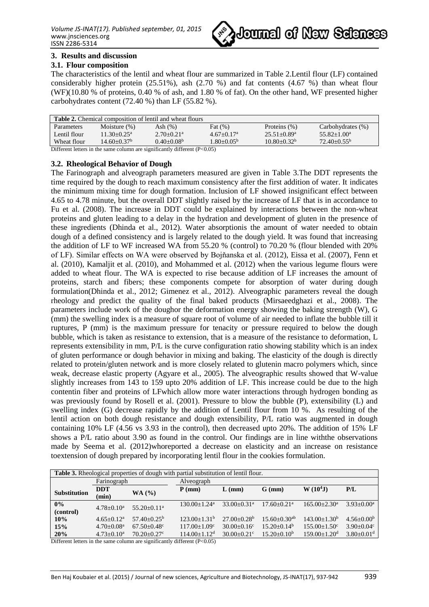

## **3. Results and discussion**

## **3.1. Flour composition**

The characteristics of the lentil and wheat flour are summarized in Table 2.Lentil flour (LF) contained considerably higher protein  $(25.51\%)$ , ash  $(2.70\%)$  and fat contents  $(4.67\%)$  than wheat flour (WF)(10.80 % of proteins, 0.40 % of ash, and 1.80 % of fat). On the other hand, WF presented higher carbohydrates content (72.40 %) than LF (55.82 %).

| <b>Table 2.</b> Chemical composition of lentil and wheat flours             |                             |                            |                 |                  |                      |  |  |  |
|-----------------------------------------------------------------------------|-----------------------------|----------------------------|-----------------|------------------|----------------------|--|--|--|
| Parameters                                                                  | Moisture $(\%)$             | Ash $(\%)$                 | Fat $(\%)$      | Proteins $(\%)$  | Carbohydrates (%)    |  |  |  |
| Lentil flour                                                                | $11.30 + 0.25^a$            | $2.70+0.21^a$              | $4.67+0.17a$    | $25.51 + 0.89^a$ | $55.82 + 1.00^a$     |  |  |  |
| Wheat flour                                                                 | $14.60 + 0.37$ <sup>b</sup> | $0.40 + 0.08$ <sup>b</sup> | $1.80 + 0.05^b$ | $10.80 + 0.32^b$ | $72.40+0.55^{\rm b}$ |  |  |  |
| Different letters in the same column are significantly different $(P<0.05)$ |                             |                            |                 |                  |                      |  |  |  |

## **3.2. Rheological Behavior of Dough**

The Farinograph and alveograph parameters measured are given in Table 3.The DDT represents the time required by the dough to reach maximum consistency after the first addition of water. It indicates the minimum mixing time for dough formation. Inclusion of LF showed insignificant effect between 4.65 to 4.78 minute, but the overall DDT slightly raised by the increase of LF that is in accordance to Fu et al. (2008). The increase in DDT could be explained by interactions between the non-wheat proteins and gluten leading to a delay in the hydration and development of gluten in the presence of these ingredients (Dhinda et al., 2012). Water absorptionis the amount of water needed to obtain dough of a defined consistency and is largely related to the dough yield. It was found that increasing the addition of LF to WF increased WA from 55.20 % (control) to 70.20 % (flour blended with 20% of LF). Similar effects on WA were observed by Bojňanska et al. (2012), Eissa et al. (2007), Fenn et al. (2010), Kamaljit et al. (2010), and Mohammed et al. (2012) when the various legume flours were added to wheat flour. The WA is expected to rise because addition of LF increases the amount of proteins, starch and fibers; these components compete for absorption of water during dough formulation(Dhinda et al., 2012; Gimenez et al., 2012). Alveographic parameters reveal the dough rheology and predict the quality of the final baked products (Mirsaeedghazi et al., 2008). The parameters include work of the doughor the deformation energy showing the baking strength (W), G (mm) the swelling index is a measure of square root of volume of air needed to inflate the bubble till it ruptures, P (mm) is the maximum pressure for tenacity or pressure required to below the dough bubble, which is taken as resistance to extension, that is a measure of the resistance to deformation, L represents extensibility in mm, P/L is the curve configuration ratio showing stability which is an index of gluten performance or dough behavior in mixing and baking. The elasticity of the dough is directly related to protein/gluten network and is more closely related to glutenin macro polymers which, since weak, decrease elastic property (Agyare et al., 2005). The alveographic results showed that W-value slightly increases from 143 to 159 upto 20% addition of LF. This increase could be due to the high contentin fiber and proteins of LFwhich allow more water interactions through hydrogen bonding as was previously found by Rosell et al. (2001). Pressure to blow the bubble (P), extensibility (L) and swelling index (G) decrease rapidly by the addition of Lentil flour from 10 %. As resulting of the lentil action on both dough resistance and dough extensibility, P/L ratio was augmented in dough containing 10% LF (4.56 vs 3.93 in the control), then decreased upto 20%. The addition of 15% LF shows a P/L ratio about 3.90 as found in the control. Our findings are in line withthe observations made by Seema et al. (2012)whoreported a decrease on elasticity and an increase on resistance toextension of dough prepared by incorporating lentil flour in the cookies formulation.

| <b>Table 3.</b> Rheological properties of dough with partial substitution of lentil flour. |                 |                        |                       |                             |                              |                              |                              |  |  |
|--------------------------------------------------------------------------------------------|-----------------|------------------------|-----------------------|-----------------------------|------------------------------|------------------------------|------------------------------|--|--|
| Farinograph                                                                                |                 |                        | Alveograph            |                             |                              |                              |                              |  |  |
| <b>Substitution</b>                                                                        | <b>DDT</b>      |                        | $P$ (mm)              | $L$ (mm)                    | $G$ (mm)                     | $W(10^4J)$                   | P/L                          |  |  |
|                                                                                            | (min)           | <b>WA</b> (%)          |                       |                             |                              |                              |                              |  |  |
| 0%                                                                                         | $4.78 + 0.10^a$ | $55.20+0.11^a$         | $130.00+1.24a$        | $33.00 + 0.31$ <sup>a</sup> | $17.60 + 0.21$ <sup>a</sup>  | $165.00 + 2.30$ <sup>a</sup> | $3.93+0.00^a$                |  |  |
| (control)                                                                                  |                 |                        |                       |                             |                              |                              |                              |  |  |
| 10%                                                                                        | $4.65+0.12^a$   | $57.40 + 0.25^{\rm b}$ | $123.00+1.31b$        | $27.00+0.28b$               | $15.60 + 0.30$ <sup>ab</sup> | $143.00 + 1.30b$             | $4.56 + 0.00b$               |  |  |
| 15%                                                                                        | $4.70+0.08a$    | $67.50 + 0.48$ °       | $117.00+1.09^{\circ}$ | $30.00+0.16^{\circ}$        | $15.20+0.14b$                | $155.00+1.50^{\circ}$        | $3.90+0.04c$                 |  |  |
| 20%                                                                                        | $4.73+0.10^a$   | $70.20 + 0.27$ °       | $114.00+1.12d$        | $30.00+0.21$ °              | $15.20+0.10b$                | $159.00 + 1.20$ <sup>d</sup> | $3.80 \pm 0.01$ <sup>d</sup> |  |  |

Different letters in the same column are significantly different  $(P<0.05)$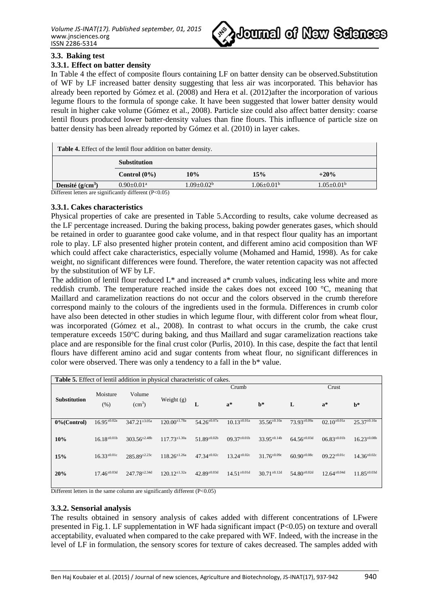

## **3.3. Baking test**

## **3.3.1. Effect on batter density**

In Table 4 the effect of composite flours containing LF on batter density can be observed.Substitution of WF by LF increased batter density suggesting that less air was incorporated. This behavior has already been reported by Gómez et al. (2008) and Hera et al. (2012)after the incorporation of various legume flours to the formula of sponge cake. It have been suggested that lower batter density would result in higher cake volume (Gómez et al., 2008). Particle size could also affect batter density: coarse lentil flours produced lower batter-density values than fine flours. This influence of particle size on batter density has been already reported by Gómez et al. (2010) in layer cakes.

| <b>Table 4.</b> Effect of the lentil flour addition on batter density. |                                   |                 |                |                |  |  |  |  |
|------------------------------------------------------------------------|-----------------------------------|-----------------|----------------|----------------|--|--|--|--|
|                                                                        | <b>Substitution</b>               |                 |                |                |  |  |  |  |
|                                                                        | Control $(0\%)$                   | 10%             | 15%            | $+20%$         |  |  |  |  |
| Densité $(g/cm^3)$<br>$-100 - 11$                                      | $0.90 + 0.01^a$<br>$\cdot$ $\sim$ | $1.09 + 0.02^b$ | $1.06 + 0.01b$ | $1.05 + 0.01b$ |  |  |  |  |

Different letters are significantly different (P<0.05)

#### **3.3.1. Cakes characteristics**

Physical properties of cake are presented in Table 5.According to results, cake volume decreased as the LF percentage increased. During the baking process, baking powder generates gases, which should be retained in order to guarantee good cake volume, and in that respect flour quality has an important role to play. LF also presented higher protein content, and different amino acid composition than WF which could affect cake characteristics, especially volume (Mohamed and Hamid, 1998). As for cake weight, no significant differences were found. Therefore, the water retention capacity was not affected by the substitution of WF by LF.

The addition of lentil flour reduced  $L^*$  and increased a<sup>\*</sup> crumb values, indicating less white and more reddish crumb. The temperature reached inside the cakes does not exceed 100 °C, meaning that Maillard and caramelization reactions do not occur and the colors observed in the crumb therefore correspond mainly to the colours of the ingredients used in the formula. Differences in crumb color have also been detected in other studies in which legume flour, with different color from wheat flour, was incorporated (Gómez et al., 2008). In contrast to what occurs in the crumb, the cake crust temperature exceeds 150°C during baking, and thus Maillard and sugar caramelization reactions take place and are responsible for the final crust color (Purlis, 2010). In this case, despite the fact that lentil flours have different amino acid and sugar contents from wheat flour, no significant differences in color were observed. There was only a tendency to a fall in the b\* value.

| <b>Table 5.</b> Effect of lentil addition in physical characteristic of cakes. |                     |                              |                      |                     |                     |                     |                     |                     |                     |
|--------------------------------------------------------------------------------|---------------------|------------------------------|----------------------|---------------------|---------------------|---------------------|---------------------|---------------------|---------------------|
|                                                                                |                     |                              |                      |                     | Crumb               |                     | Crust               |                     |                     |
| <b>Substitution</b>                                                            | Moisture<br>(% )    | Volume<br>(cm <sup>3</sup> ) | Weight $(g)$         | L                   | $a^*$               | $\mathbf{b}^*$      | L                   | $a^*$               | $\mathbf{b}^*$      |
| $0\%$ (Control)                                                                | $16.95^{\pm 0.02a}$ | $347.21 \pm 3.05a$           | $120.00^{\pm 1.78a}$ | $54.26^{\pm 0.07a}$ | $10.13^{\pm 0.01a}$ | $35.56^{\pm 0.10a}$ | $73.93^{\pm 0.09a}$ | $02.10^{\pm 0.01a}$ | $25.37^{\pm 0.10a}$ |
| 10%                                                                            | $16.18^{\pm0.01b}$  | $303.56^{\pm2.48b}$          | $117.73^{\pm 1.30a}$ | $51.89^{\pm0.02b}$  | $09.37^{\pm0.01b}$  | $33.95^{\pm 0.14b}$ | $64.56^{\pm0.03d}$  | $06.83^{\pm0.01b}$  | $16.23^{\pm 0.08b}$ |
| 15%                                                                            | $16.33^{\pm0.01c}$  | $285.89^{\pm2.23c}$          | $118.26^{\pm 1.26a}$ | $47.34^{\pm0.02c}$  | $13.24^{\pm 0.02c}$ | $31.76^{\pm 0.09c}$ | $60.90^{\pm0.08c}$  | $09.22^{\pm0.01c}$  | $14.36^{\pm0.02c}$  |
| 20%                                                                            | $17.46^{\pm0.03d}$  | $247.78^{\pm2.34d}$          | $120.12^{\pm 1.32a}$ | $42.89^{\pm0.03d}$  | $14.51^{\pm0.01d}$  | $30.71^{\pm0.12d}$  | $54.80^{\pm0.02d}$  | $12.64^{\pm0.04d}$  | $11.85^{\pm0.03d}$  |

Different letters in the same column are significantly different  $(P<0.05)$ 

#### **3.3.2. Sensorial analysis**

The results obtained in sensory analysis of cakes added with different concentrations of LFwere presented in Fig.1. LF supplementation in WF hada significant impact (P<0.05) on texture and overall acceptability, evaluated when compared to the cake prepared with WF. Indeed, with the increase in the level of LF in formulation, the sensory scores for texture of cakes decreased. The samples added with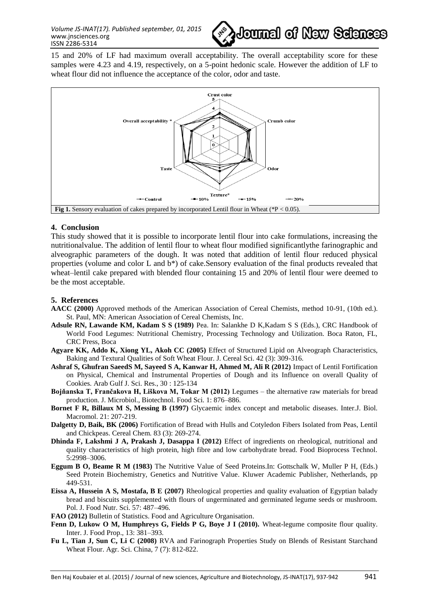

15 and 20% of LF had maximum overall acceptability. The overall acceptability score for these samples were 4.23 and 4.19, respectively, on a 5-point hedonic scale. However the addition of LF to wheat flour did not influence the acceptance of the color, odor and taste.



#### **4. Conclusion**

This study showed that it is possible to incorporate lentil flour into cake formulations, increasing the nutritionalvalue. The addition of lentil flour to wheat flour modified significantlythe farinographic and alveographic parameters of the dough. It was noted that addition of lentil flour reduced physical properties (volume and color L and b\*) of cake.Sensory evaluation of the final products revealed that wheat–lentil cake prepared with blended flour containing 15 and 20% of lentil flour were deemed to be the most acceptable.

## **5. References**

- **AACC (2000)** Approved methods of the American Association of Cereal Chemists, method 10-91, (10th ed.). St. Paul, MN: American Association of Cereal Chemists, Inc.
- **Adsule RN, Lawande KM, Kadam S S (1989)** Pea. In: Salankhe D K,Kadam S S (Eds.), CRC Handbook of World Food Legumes: Nutritional Chemistry, Processing Technology and Utilization. Boca Raton, FL, CRC Press, Boca
- **Agyare KK, Addo K, Xiong YL, Akoh CC (2005)** Effect of Structured Lipid on Alveograph Characteristics, Baking and Textural Qualities of Soft Wheat Flour. J. Cereal Sci. 42 (3): 309-316.
- **Ashraf S, Ghufran SaeedS M, Sayeed S A, Kanwar H, Ahmed M, Ali R (2012)** Impact of Lentil Fortification on Physical, Chemical and Instrumental Properties of Dough and its Influence on overall Quality of Cookies. Arab Gulf J. Sci. Res., 30 : 125-134
- **Bojňanska T, Frančakova H, Liškova M, Tokar M (2012)** Legumes the alternative raw materials for bread production. J. Microbiol., Biotechnol. Food Sci. 1: 876–886.
- **Bornet F R, Billaux M S, Messing B (1997)** Glycaemic index concept and metabolic diseases. Inter.J. Biol. Macromol. 21: 207-219.
- **Dalgetty D, Baik, BK (2006)** Fortification of Bread with Hulls and Cotyledon Fibers Isolated from Peas, Lentil and Chickpeas. Cereal Chem. 83 (3): 269-274.
- **Dhinda F, Lakshmi J A, Prakash J, Dasappa I (2012)** Effect of ingredients on rheological, nutritional and quality characteristics of high protein, high fibre and low carbohydrate bread. Food Bioprocess Technol. 5:2998–3006.
- **Eggum B O, Beame R M (1983)** The Nutritive Value of Seed Proteins.In: Gottschalk W, Muller P H, (Eds.) Seed Protein Biochemistry, Genetics and Nutritive Value. Kluwer Academic Publisher, Netherlands, pp 449-531.
- **Eissa A, Hussein A S, Mostafa, B E (2007)** Rheological properties and quality evaluation of Egyptian balady bread and biscuits supplemented with flours of ungerminated and germinated legume seeds or mushroom. Pol. J. Food Nutr. Sci. 57: 487–496.
- **FAO (2012)** Bulletin of Statistics. Food and Agriculture Organisation.
- Fenn D, Lukow O M, Humphreys G, Fields P G, Boye J I (2010). Wheat-legume composite flour quality. Inter. J. Food Prop., 13: 381–393.
- **Fu L, Tian J, Sun C, Li C (2008)** RVA and Farinograph Properties Study on Blends of Resistant Starchand Wheat Flour. Agr. Sci. China, 7 (7): 812-822.